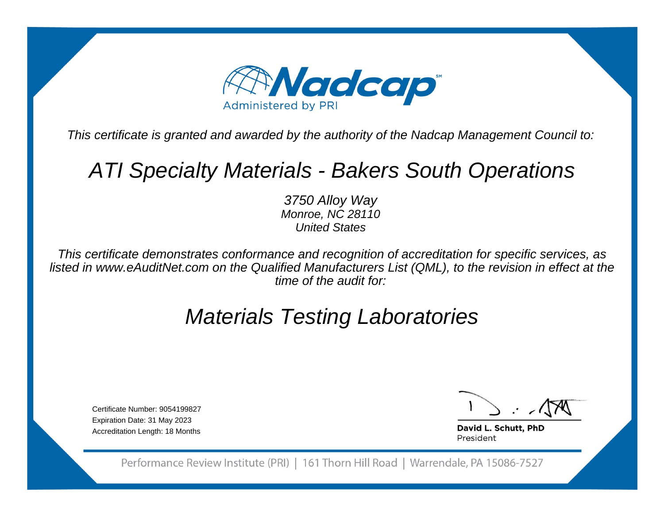

This certificate is granted and awarded by the authority of the Nadcap Management Council to:

# ATI Specialty Materials - Bakers South Operations

3750 Alloy Way Monroe, NC 28110United States

This certificate demonstrates conformance and recognition of accreditation for specific services, as listed in www.eAuditNet.com on the Qualified Manufacturers List (QML), to the revision in effect at thetime of the audit for:

# Materials Testing Laboratories

Certificate Number: 9054199827Expiration Date: 31 May 2023Accreditation Length: 18 Months

David L. Schutt, PhD President

Performance Review Institute (PRI) | 161 Thorn Hill Road | Warrendale, PA 15086-7527